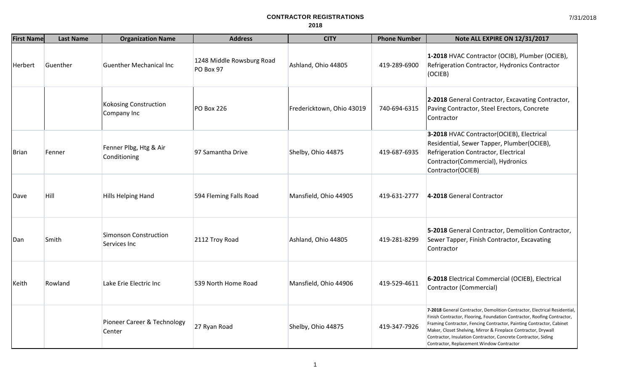| <b>First Name</b> | <b>Last Name</b> | <b>Organization Name</b>                     | <b>Address</b>                         | <b>CITY</b>               | <b>Phone Number</b> | Note ALL EXPIRE ON 12/31/2017                                                                                                                                                                                                                                                                                                                                                                                 |
|-------------------|------------------|----------------------------------------------|----------------------------------------|---------------------------|---------------------|---------------------------------------------------------------------------------------------------------------------------------------------------------------------------------------------------------------------------------------------------------------------------------------------------------------------------------------------------------------------------------------------------------------|
| Herbert           | Guenther         | <b>Guenther Mechanical Inc</b>               | 1248 Middle Rowsburg Road<br>PO Box 97 | Ashland, Ohio 44805       | 419-289-6900        | 1-2018 HVAC Contractor (OCIB), Plumber (OCIEB),<br>Refrigeration Contractor, Hydronics Contractor<br>(OCIEB)                                                                                                                                                                                                                                                                                                  |
|                   |                  | Kokosing Construction<br>Company Inc         | PO Box 226                             | Fredericktown, Ohio 43019 | 740-694-6315        | 2-2018 General Contractor, Excavating Contractor,<br>Paving Contractor, Steel Erectors, Concrete<br>Contractor                                                                                                                                                                                                                                                                                                |
| Brian             | Fenner           | Fenner Plbg, Htg & Air<br>Conditioning       | 97 Samantha Drive                      | Shelby, Ohio 44875        | 419-687-6935        | 3-2018 HVAC Contractor(OCIEB), Electrical<br>Residential, Sewer Tapper, Plumber(OCIEB),<br>Refrigeration Contractor, Electrical<br>Contractor(Commercial), Hydronics<br>Contractor(OCIEB)                                                                                                                                                                                                                     |
| Dave              | Hill             | Hills Helping Hand                           | 594 Fleming Falls Road                 | Mansfield, Ohio 44905     | 419-631-2777        | 4-2018 General Contractor                                                                                                                                                                                                                                                                                                                                                                                     |
| Dan               | Smith            | <b>Simonson Construction</b><br>Services Inc | 2112 Troy Road                         | Ashland, Ohio 44805       | 419-281-8299        | 5-2018 General Contractor, Demolition Contractor,<br>Sewer Tapper, Finish Contractor, Excavating<br>Contractor                                                                                                                                                                                                                                                                                                |
| Keith             | Rowland          | Lake Erie Electric Inc                       | 539 North Home Road                    | Mansfield, Ohio 44906     | 419-529-4611        | 6-2018 Electrical Commercial (OCIEB), Electrical<br>Contractor (Commercial)                                                                                                                                                                                                                                                                                                                                   |
|                   |                  | Pioneer Career & Technology<br>Center        | 27 Ryan Road                           | Shelby, Ohio 44875        | 419-347-7926        | 7-2018 General Contractor, Demolition Contractor, Electrical Residential,<br>Finish Contractor, Flooring, Foundation Contractor, Roofing Contractor,<br>Framing Contractor, Fencing Contractor, Painting Contractor, Cabinet<br>Maker, Closet Shelving, Mirror & Fireplace Contractor, Drywall<br>Contractor, Insulation Contractor, Concrete Contractor, Siding<br>Contractor, Replacement Window Contractor |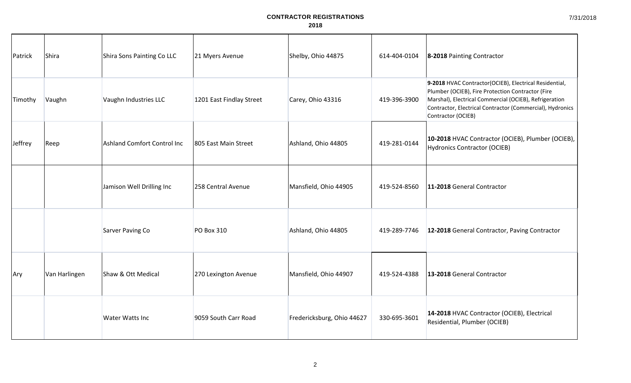| Patrick | Shira         | Shira Sons Painting Co LLC         | 21 Myers Avenue          | Shelby, Ohio 44875         | 614-404-0104 | 8-2018 Painting Contractor                                                                                                                                                                                                                               |
|---------|---------------|------------------------------------|--------------------------|----------------------------|--------------|----------------------------------------------------------------------------------------------------------------------------------------------------------------------------------------------------------------------------------------------------------|
| Timothy | Vaughn        | Vaughn Industries LLC              | 1201 East Findlay Street | Carey, Ohio 43316          | 419-396-3900 | 9-2018 HVAC Contractor(OCIEB), Electrical Residential,<br>Plumber (OCIEB), Fire Protection Contractor (Fire<br>Marshal), Electrical Commercial (OCIEB), Refrigeration<br>Contractor, Electrical Contractor (Commercial), Hydronics<br>Contractor (OCIEB) |
| Jeffrey | Reep          | <b>Ashland Comfort Control Inc</b> | 805 East Main Street     | Ashland, Ohio 44805        | 419-281-0144 | 10-2018 HVAC Contractor (OCIEB), Plumber (OCIEB),<br>Hydronics Contractor (OCIEB)                                                                                                                                                                        |
|         |               | Jamison Well Drilling Inc          | 258 Central Avenue       | Mansfield, Ohio 44905      | 419-524-8560 | 11-2018 General Contractor                                                                                                                                                                                                                               |
|         |               | Sarver Paving Co                   | PO Box 310               | Ashland, Ohio 44805        | 419-289-7746 | 12-2018 General Contractor, Paving Contractor                                                                                                                                                                                                            |
| Ary     | Van Harlingen | Shaw & Ott Medical                 | 270 Lexington Avenue     | Mansfield, Ohio 44907      | 419-524-4388 | 13-2018 General Contractor                                                                                                                                                                                                                               |
|         |               | Water Watts Inc                    | 9059 South Carr Road     | Fredericksburg, Ohio 44627 | 330-695-3601 | 14-2018 HVAC Contractor (OCIEB), Electrical<br>Residential, Plumber (OCIEB)                                                                                                                                                                              |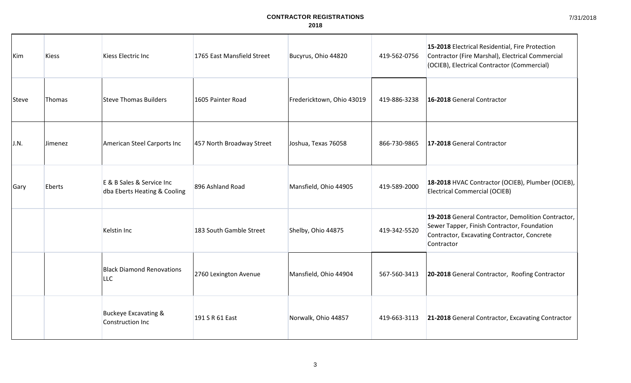7/31/2018

| Kim   | <b>Kiess</b> | Kiess Electric Inc                                        | 1765 East Mansfield Street | Bucyrus, Ohio 44820       | 419-562-0756 | 15-2018 Electrical Residential, Fire Protection<br>Contractor (Fire Marshal), Electrical Commercial<br>(OCIEB), Electrical Contractor (Commercial)             |
|-------|--------------|-----------------------------------------------------------|----------------------------|---------------------------|--------------|----------------------------------------------------------------------------------------------------------------------------------------------------------------|
| Steve | Thomas       | Steve Thomas Builders                                     | 1605 Painter Road          | Fredericktown, Ohio 43019 | 419-886-3238 | 16-2018 General Contractor                                                                                                                                     |
| J.N.  | Jimenez      | American Steel Carports Inc                               | 457 North Broadway Street  | Joshua, Texas 76058       | 866-730-9865 | 17-2018 General Contractor                                                                                                                                     |
| Gary  | Eberts       | E & B Sales & Service Inc<br>dba Eberts Heating & Cooling | 896 Ashland Road           | Mansfield, Ohio 44905     | 419-589-2000 | 18-2018 HVAC Contractor (OCIEB), Plumber (OCIEB),<br><b>Electrical Commercial (OCIEB)</b>                                                                      |
|       |              | Kelstin Inc                                               | 183 South Gamble Street    | Shelby, Ohio 44875        | 419-342-5520 | 19-2018 General Contractor, Demolition Contractor,<br>Sewer Tapper, Finish Contractor, Foundation<br>Contractor, Excavating Contractor, Concrete<br>Contractor |
|       |              | <b>Black Diamond Renovations</b><br><b>LLC</b>            | 2760 Lexington Avenue      | Mansfield, Ohio 44904     | 567-560-3413 | 20-2018 General Contractor, Roofing Contractor                                                                                                                 |
|       |              | <b>Buckeye Excavating &amp;</b><br>Construction Inc       | 191 S R 61 East            | Norwalk, Ohio 44857       | 419-663-3113 | 21-2018 General Contractor, Excavating Contractor                                                                                                              |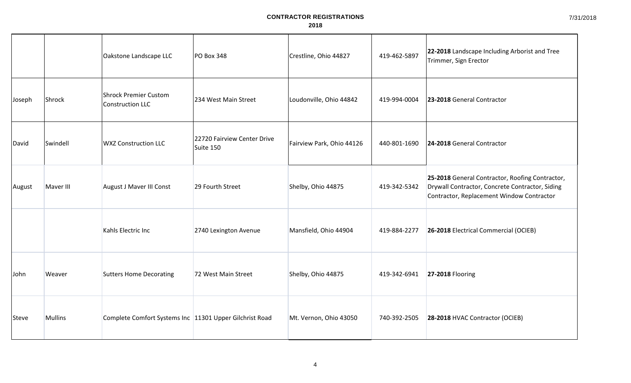|        |                | Oakstone Landscape LLC                                    | <b>PO Box 348</b>                        | Crestline, Ohio 44827     | 419-462-5897 | 22-2018 Landscape Including Arborist and Tree<br>Trimmer, Sign Erector                                                                          |
|--------|----------------|-----------------------------------------------------------|------------------------------------------|---------------------------|--------------|-------------------------------------------------------------------------------------------------------------------------------------------------|
| Joseph | Shrock         | Shrock Premier Custom<br>Construction LLC                 | 234 West Main Street                     | Loudonville, Ohio 44842   | 419-994-0004 | 23-2018 General Contractor                                                                                                                      |
| David  | Swindell       | <b>WXZ Construction LLC</b>                               | 22720 Fairview Center Drive<br>Suite 150 | Fairview Park, Ohio 44126 | 440-801-1690 | 24-2018 General Contractor                                                                                                                      |
| August | Maver III      | August J Maver III Const                                  | 29 Fourth Street                         | Shelby, Ohio 44875        | 419-342-5342 | 25-2018 General Contractor, Roofing Contractor,<br>Drywall Contractor, Concrete Contractor, Siding<br>Contractor, Replacement Window Contractor |
|        |                | Kahls Electric Inc                                        | 2740 Lexington Avenue                    | Mansfield, Ohio 44904     | 419-884-2277 | 26-2018 Electrical Commercial (OCIEB)                                                                                                           |
| John   | Weaver         | <b>Sutters Home Decorating</b>                            | 72 West Main Street                      | Shelby, Ohio 44875        | 419-342-6941 | <b>27-2018 Flooring</b>                                                                                                                         |
| Steve  | <b>Mullins</b> | Complete Comfort Systems Inc   11301 Upper Gilchrist Road |                                          | Mt. Vernon, Ohio 43050    | 740-392-2505 | 28-2018 HVAC Contractor (OCIEB)                                                                                                                 |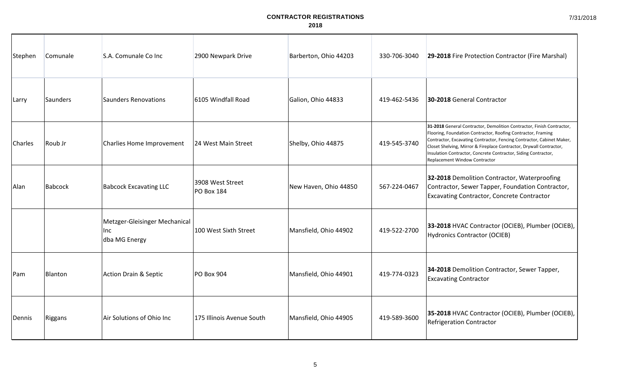| Stephen | Comunale | S.A. Comunale Co Inc                                  | 2900 Newpark Drive             | Barberton, Ohio 44203 | 330-706-3040 | 29-2018 Fire Protection Contractor (Fire Marshal)                                                                                                                                                                                                                                                                                                                                        |
|---------|----------|-------------------------------------------------------|--------------------------------|-----------------------|--------------|------------------------------------------------------------------------------------------------------------------------------------------------------------------------------------------------------------------------------------------------------------------------------------------------------------------------------------------------------------------------------------------|
| Larry   | Saunders | <b>Saunders Renovations</b>                           | 6105 Windfall Road             | Galion, Ohio 44833    | 419-462-5436 | 30-2018 General Contractor                                                                                                                                                                                                                                                                                                                                                               |
| Charles | Roub Jr  | Charlies Home Improvement                             | 124 West Main Street           | Shelby, Ohio 44875    | 419-545-3740 | 31-2018 General Contractor, Demolition Contractor, Finish Contractor,<br>Flooring, Foundation Contractor, Roofing Contractor, Framing<br>Contractor, Excavating Contractor, Fencing Contractor, Cabinet Maker,<br>Closet Shelving, Mirror & Fireplace Contractor, Drywall Contractor,<br>Insulation Contractor, Concrete Contractor, Siding Contractor,<br>Replacement Window Contractor |
| Alan    | Babcock  | <b>Babcock Excavating LLC</b>                         | 3908 West Street<br>PO Box 184 | New Haven, Ohio 44850 | 567-224-0467 | 32-2018 Demolition Contractor, Waterproofing<br>Contractor, Sewer Tapper, Foundation Contractor,<br><b>Excavating Contractor, Concrete Contractor</b>                                                                                                                                                                                                                                    |
|         |          | Metzger-Gleisinger Mechanical<br>Inc<br>dba MG Energy | 100 West Sixth Street          | Mansfield, Ohio 44902 | 419-522-2700 | 33-2018 HVAC Contractor (OCIEB), Plumber (OCIEB),<br>Hydronics Contractor (OCIEB)                                                                                                                                                                                                                                                                                                        |
| Pam     | Blanton  | <b>Action Drain &amp; Septic</b>                      | PO Box 904                     | Mansfield, Ohio 44901 | 419-774-0323 | 34-2018 Demolition Contractor, Sewer Tapper,<br><b>Excavating Contractor</b>                                                                                                                                                                                                                                                                                                             |
| Dennis  | Riggans  | Air Solutions of Ohio Inc                             | 175 Illinois Avenue South      | Mansfield, Ohio 44905 | 419-589-3600 | 35-2018 HVAC Contractor (OCIEB), Plumber (OCIEB),<br><b>Refrigeration Contractor</b>                                                                                                                                                                                                                                                                                                     |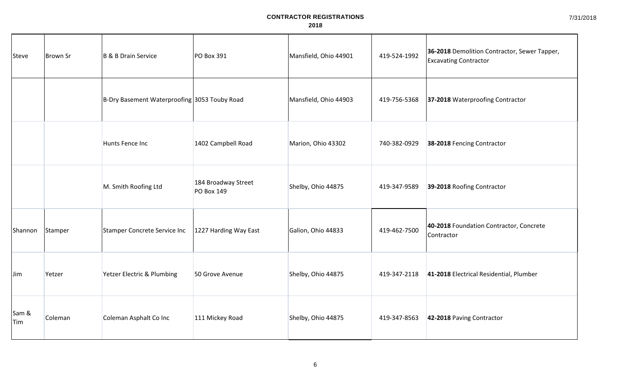| Steve               | Brown Sr | <b>B &amp; B Drain Service</b>               | PO Box 391                               | Mansfield, Ohio 44901 | 419-524-1992 | 36-2018 Demolition Contractor, Sewer Tapper,<br><b>Excavating Contractor</b> |
|---------------------|----------|----------------------------------------------|------------------------------------------|-----------------------|--------------|------------------------------------------------------------------------------|
|                     |          | B-Dry Basement Waterproofing 3053 Touby Road |                                          | Mansfield, Ohio 44903 | 419-756-5368 | 37-2018 Waterproofing Contractor                                             |
|                     |          | Hunts Fence Inc                              | 1402 Campbell Road                       | Marion, Ohio 43302    | 740-382-0929 | 38-2018 Fencing Contractor                                                   |
|                     |          | M. Smith Roofing Ltd                         | 184 Broadway Street<br><b>PO Box 149</b> | Shelby, Ohio 44875    | 419-347-9589 | 39-2018 Roofing Contractor                                                   |
| Shannon             | Stamper  | <b>Stamper Concrete Service Inc</b>          | 1227 Harding Way East                    | Galion, Ohio 44833    | 419-462-7500 | 40-2018 Foundation Contractor, Concrete<br>Contractor                        |
| <b>Jim</b>          | Yetzer   | Yetzer Electric & Plumbing                   | 50 Grove Avenue                          | Shelby, Ohio 44875    | 419-347-2118 | 41-2018 Electrical Residential, Plumber                                      |
| Sam &<br><b>Tim</b> | Coleman  | Coleman Asphalt Co Inc                       | 111 Mickey Road                          | Shelby, Ohio 44875    | 419-347-8563 | 42-2018 Paving Contractor                                                    |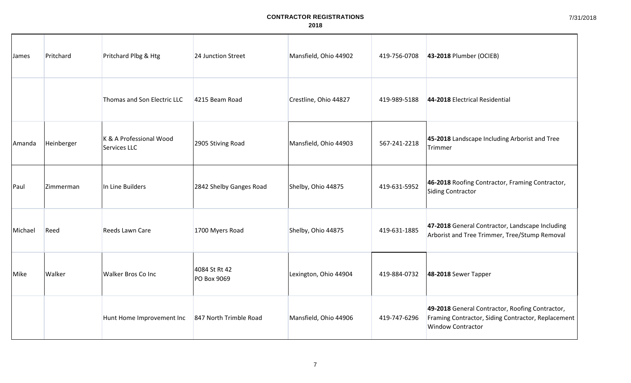| James   | Pritchard  | Pritchard Plbg & Htg                    | 24 Junction Street           | Mansfield, Ohio 44902 | 419-756-0708 | 43-2018 Plumber (OCIEB)                                                                                                           |
|---------|------------|-----------------------------------------|------------------------------|-----------------------|--------------|-----------------------------------------------------------------------------------------------------------------------------------|
|         |            | Thomas and Son Electric LLC             | 4215 Beam Road               | Crestline, Ohio 44827 | 419-989-5188 | 44-2018 Electrical Residential                                                                                                    |
| Amanda  | Heinberger | K & A Professional Wood<br>Services LLC | 2905 Stiving Road            | Mansfield, Ohio 44903 | 567-241-2218 | 45-2018 Landscape Including Arborist and Tree<br>Trimmer                                                                          |
| Paul    | Zimmerman  | In Line Builders                        | 2842 Shelby Ganges Road      | Shelby, Ohio 44875    | 419-631-5952 | 46-2018 Roofing Contractor, Framing Contractor,<br>Siding Contractor                                                              |
| Michael | Reed       | Reeds Lawn Care                         | 1700 Myers Road              | Shelby, Ohio 44875    | 419-631-1885 | 47-2018 General Contractor, Landscape Including<br>Arborist and Tree Trimmer, Tree/Stump Removal                                  |
| Mike    | Walker     | Walker Bros Co Inc                      | 4084 St Rt 42<br>PO Box 9069 | Lexington, Ohio 44904 | 419-884-0732 | 48-2018 Sewer Tapper                                                                                                              |
|         |            | Hunt Home Improvement Inc               | 847 North Trimble Road       | Mansfield, Ohio 44906 | 419-747-6296 | 49-2018 General Contractor, Roofing Contractor,<br>Framing Contractor, Siding Contractor, Replacement<br><b>Window Contractor</b> |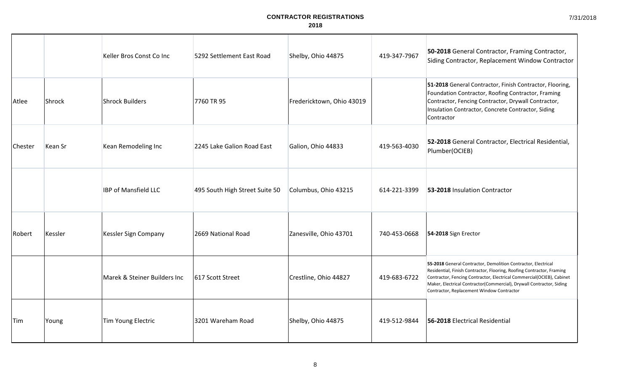|                |                | Keller Bros Const Co Inc     | 5292 Settlement East Road      | Shelby, Ohio 44875        | 419-347-7967 | 50-2018 General Contractor, Framing Contractor,<br>Siding Contractor, Replacement Window Contractor                                                                                                                                                                                                                                  |
|----------------|----------------|------------------------------|--------------------------------|---------------------------|--------------|--------------------------------------------------------------------------------------------------------------------------------------------------------------------------------------------------------------------------------------------------------------------------------------------------------------------------------------|
| Atlee          | Shrock         | <b>Shrock Builders</b>       | 7760 TR 95                     | Fredericktown, Ohio 43019 |              | 51-2018 General Contractor, Finish Contractor, Flooring,<br>Foundation Contractor, Roofing Contractor, Framing<br>Contractor, Fencing Contractor, Drywall Contractor,<br>Insulation Contractor, Concrete Contractor, Siding<br>Contractor                                                                                            |
| <b>Chester</b> | <b>Kean Sr</b> | Kean Remodeling Inc          | 2245 Lake Galion Road East     | Galion, Ohio 44833        | 419-563-4030 | 52-2018 General Contractor, Electrical Residential,<br>Plumber(OCIEB)                                                                                                                                                                                                                                                                |
|                |                | <b>IBP of Mansfield LLC</b>  | 495 South High Street Suite 50 | Columbus, Ohio 43215      | 614-221-3399 | 53-2018 Insulation Contractor                                                                                                                                                                                                                                                                                                        |
| Robert         | Kessler        | Kessler Sign Company         | 2669 National Road             | Zanesville, Ohio 43701    | 740-453-0668 | 54-2018 Sign Erector                                                                                                                                                                                                                                                                                                                 |
|                |                | Marek & Steiner Builders Inc | 617 Scott Street               | Crestline, Ohio 44827     | 419-683-6722 | 55-2018 General Contractor, Demolition Contractor, Electrical<br>Residential, Finish Contractor, Flooring, Roofing Contractor, Framing<br>Contractor, Fencing Contractor, Electrical Commercial(OCIEB), Cabinet<br>Maker, Electrical Contractor(Commercial), Drywall Contractor, Siding<br>Contractor, Replacement Window Contractor |
| Tim            | Young          | <b>Tim Young Electric</b>    | 3201 Wareham Road              | Shelby, Ohio 44875        | 419-512-9844 | 56-2018 Electrical Residential                                                                                                                                                                                                                                                                                                       |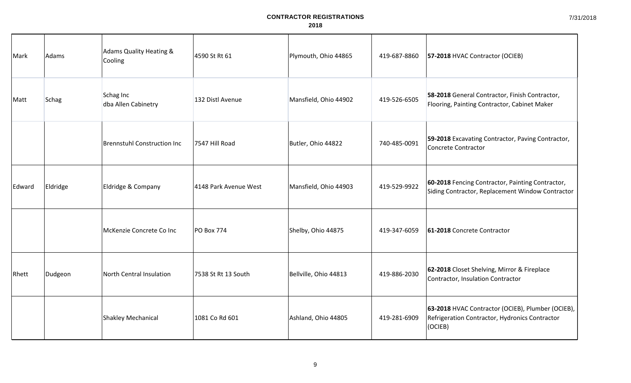| Mark   | Adams    | <b>Adams Quality Heating &amp;</b><br>Cooling | 4590 St Rt 61         | Plymouth, Ohio 44865  | 419-687-8860 | 57-2018 HVAC Contractor (OCIEB)                                                                                |
|--------|----------|-----------------------------------------------|-----------------------|-----------------------|--------------|----------------------------------------------------------------------------------------------------------------|
| Matt   | Schag    | Schag Inc<br>dba Allen Cabinetry              | 132 Distl Avenue      | Mansfield, Ohio 44902 | 419-526-6505 | 58-2018 General Contractor, Finish Contractor,<br>Flooring, Painting Contractor, Cabinet Maker                 |
|        |          | <b>Brennstuhl Construction Inc</b>            | 7547 Hill Road        | Butler, Ohio 44822    | 740-485-0091 | 59-2018 Excavating Contractor, Paving Contractor,<br>Concrete Contractor                                       |
| Edward | Eldridge | Eldridge & Company                            | 4148 Park Avenue West | Mansfield, Ohio 44903 | 419-529-9922 | 60-2018 Fencing Contractor, Painting Contractor,<br>Siding Contractor, Replacement Window Contractor           |
|        |          | McKenzie Concrete Co Inc                      | <b>PO Box 774</b>     | Shelby, Ohio 44875    | 419-347-6059 | 61-2018 Concrete Contractor                                                                                    |
| Rhett  | Dudgeon  | North Central Insulation                      | 7538 St Rt 13 South   | Bellville, Ohio 44813 | 419-886-2030 | 62-2018 Closet Shelving, Mirror & Fireplace<br>Contractor, Insulation Contractor                               |
|        |          | <b>Shakley Mechanical</b>                     | 1081 Co Rd 601        | Ashland, Ohio 44805   | 419-281-6909 | 63-2018 HVAC Contractor (OCIEB), Plumber (OCIEB),<br>Refrigeration Contractor, Hydronics Contractor<br>(OCIEB) |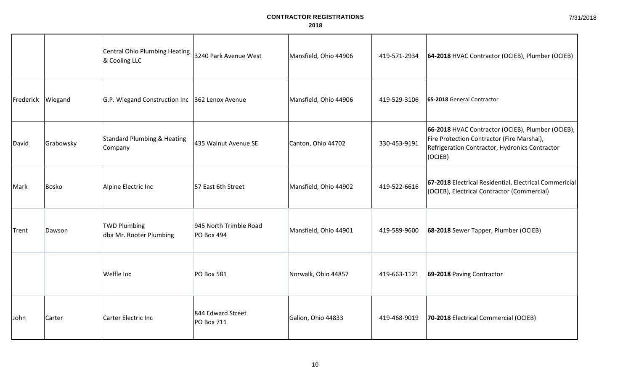|           |              | Central Ohio Plumbing Heating<br>& Cooling LLC    | 3240 Park Avenue West                       | Mansfield, Ohio 44906 | 419-571-2934 | 64-2018 HVAC Contractor (OCIEB), Plumber (OCIEB)                                                                                                             |
|-----------|--------------|---------------------------------------------------|---------------------------------------------|-----------------------|--------------|--------------------------------------------------------------------------------------------------------------------------------------------------------------|
| Frederick | Wiegand      | G.P. Wiegand Construction Inc 362 Lenox Avenue    |                                             | Mansfield, Ohio 44906 | 419-529-3106 | 65-2018 General Contractor                                                                                                                                   |
| David     | Grabowsky    | <b>Standard Plumbing &amp; Heating</b><br>Company | 435 Walnut Avenue SE                        | Canton, Ohio 44702    | 330-453-9191 | 66-2018 HVAC Contractor (OCIEB), Plumber (OCIEB),<br>Fire Protection Contractor (Fire Marshal),<br>Refrigeration Contractor, Hydronics Contractor<br>(OCIEB) |
| Mark      | <b>Bosko</b> | Alpine Electric Inc                               | 57 East 6th Street                          | Mansfield, Ohio 44902 | 419-522-6616 | 67-2018 Electrical Residential, Electrical Commericial<br>(OCIEB), Electrical Contractor (Commercial)                                                        |
| Trent     | Dawson       | <b>TWD Plumbing</b><br>dba Mr. Rooter Plumbing    | 945 North Trimble Road<br><b>PO Box 494</b> | Mansfield, Ohio 44901 | 419-589-9600 | 68-2018 Sewer Tapper, Plumber (OCIEB)                                                                                                                        |
|           |              | Welfle Inc                                        | <b>PO Box 581</b>                           | Norwalk, Ohio 44857   | 419-663-1121 | 69-2018 Paving Contractor                                                                                                                                    |
| John      | Carter       | Carter Electric Inc                               | 844 Edward Street<br>PO Box 711             | Galion, Ohio 44833    | 419-468-9019 | 70-2018 Electrical Commercial (OCIEB)                                                                                                                        |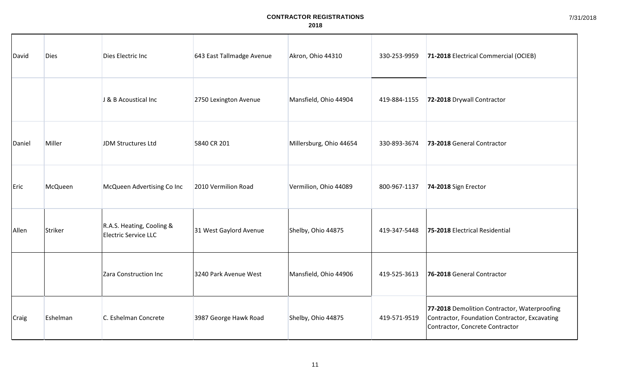| David        | <b>Dies</b> | Dies Electric Inc                                        | 643 East Tallmadge Avenue | Akron, Ohio 44310       | 330-253-9959 | 71-2018 Electrical Commercial (OCIEB)                                                                                            |
|--------------|-------------|----------------------------------------------------------|---------------------------|-------------------------|--------------|----------------------------------------------------------------------------------------------------------------------------------|
|              |             | J & B Acoustical Inc                                     | 2750 Lexington Avenue     | Mansfield, Ohio 44904   | 419-884-1155 | 72-2018 Drywall Contractor                                                                                                       |
| Daniel       | Miller      | JDM Structures Ltd                                       | 5840 CR 201               | Millersburg, Ohio 44654 | 330-893-3674 | 73-2018 General Contractor                                                                                                       |
| Eric         | McQueen     | McQueen Advertising Co Inc                               | 2010 Vermilion Road       | Vermilion, Ohio 44089   | 800-967-1137 | 74-2018 Sign Erector                                                                                                             |
| Allen        | Striker     | R.A.S. Heating, Cooling &<br><b>Electric Service LLC</b> | 31 West Gaylord Avenue    | Shelby, Ohio 44875      | 419-347-5448 | 75-2018 Electrical Residential                                                                                                   |
|              |             | Zara Construction Inc                                    | 3240 Park Avenue West     | Mansfield, Ohio 44906   | 419-525-3613 | 76-2018 General Contractor                                                                                                       |
| <b>Craig</b> | Eshelman    | C. Eshelman Concrete                                     | 3987 George Hawk Road     | Shelby, Ohio 44875      | 419-571-9519 | 77-2018 Demolition Contractor, Waterproofing<br>Contractor, Foundation Contractor, Excavating<br>Contractor, Concrete Contractor |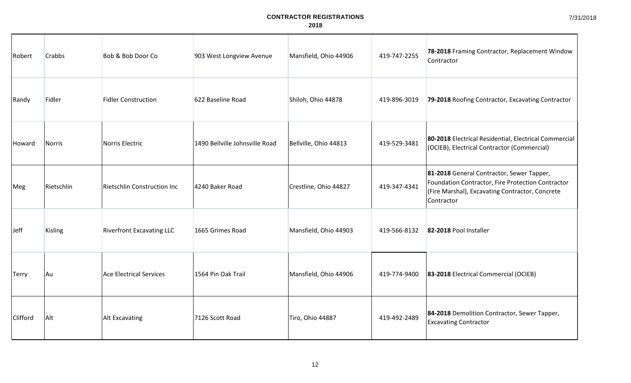| Robert       | <b>Crabbs</b> | Bob & Bob Door Co                | 903 West Longview Avenue       | Mansfield, Ohio 44906 | 419-747-2255 | 78-2018 Framing Contractor, Replacement Window<br>Contractor                                                                                                    |
|--------------|---------------|----------------------------------|--------------------------------|-----------------------|--------------|-----------------------------------------------------------------------------------------------------------------------------------------------------------------|
| Randy        | Fidler        | <b>Fidler Construction</b>       | 622 Baseline Road              | Shiloh, Ohio 44878    | 419-896-3019 | 79-2018 Roofing Contractor, Excavating Contractor                                                                                                               |
| Howard       | Norris        | Norris Electric                  | 1490 Bellville Johnsville Road | Bellville, Ohio 44813 | 419-529-3481 | 80-2018 Electrical Residential, Electrical Commercial<br>(OCIEB), Electrical Contractor (Commercial)                                                            |
| Meg          | Rietschlin    | Rietschlin Construction Inc      | 4240 Baker Road                | Crestline, Ohio 44827 | 419-347-4341 | 81-2018 General Contractor, Sewer Tapper,<br>Foundation Contractor, Fire Protection Contractor<br>(Fire Marshal), Excavating Contractor, Concrete<br>Contractor |
| <b>Jeff</b>  | Kisling       | <b>Riverfront Excavating LLC</b> | 1665 Grimes Road               | Mansfield, Ohio 44903 | 419-566-8132 | 82-2018 Pool Installer                                                                                                                                          |
| <b>Terry</b> | Au            | <b>Ace Electrical Services</b>   | 1564 Pin Oak Trail             | Mansfield, Ohio 44906 | 419-774-9400 | 83-2018 Electrical Commercial (OCIEB)                                                                                                                           |
| Clifford     | Alt           | Alt Excavating                   | 7126 Scott Road                | Tiro, Ohio 44887      | 419-492-2489 | 84-2018 Demolition Contractor, Sewer Tapper,<br><b>Excavating Contractor</b>                                                                                    |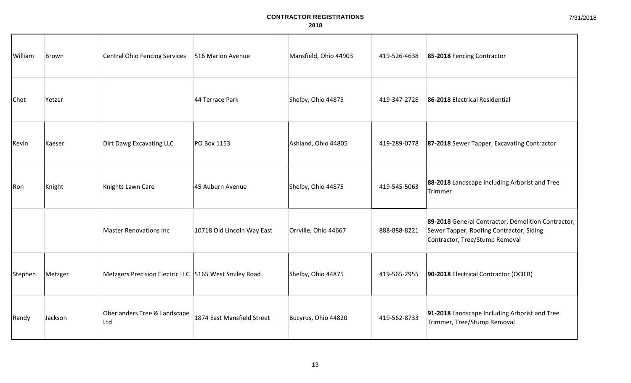| William | Brown   | <b>Central Ohio Fencing Services</b>                  | 516 Marion Avenue          | Mansfield, Ohio 44903 | 419-526-4638 | 85-2018 Fencing Contractor                                                                                                       |
|---------|---------|-------------------------------------------------------|----------------------------|-----------------------|--------------|----------------------------------------------------------------------------------------------------------------------------------|
| Chet    | Yetzer  |                                                       | 44 Terrace Park            | Shelby, Ohio 44875    | 419-347-2728 | 86-2018 Electrical Residential                                                                                                   |
| Kevin   | Kaeser  | Dirt Dawg Excavating LLC                              | PO Box 1153                | Ashland, Ohio 44805   | 419-289-0778 | 87-2018 Sewer Tapper, Excavating Contractor                                                                                      |
| Ron     | Knight  | Knights Lawn Care                                     | 45 Auburn Avenue           | Shelby, Ohio 44875    | 419-545-5063 | 88-2018 Landscape Including Arborist and Tree<br>Trimmer                                                                         |
|         |         | <b>Master Renovations Inc</b>                         | 10718 Old Lincoln Way East | Orrville, Ohio 44667  | 888-888-8221 | 89-2018 General Contractor, Demolition Contractor,<br>Sewer Tapper, Roofing Contractor, Siding<br>Contractor, Tree/Stump Removal |
| Stephen | Metzger | Metzgers Precision Electric LLC 5165 West Smiley Road |                            | Shelby, Ohio 44875    | 419-565-2955 | 90-2018 Electrical Contractor (OCIEB)                                                                                            |
| Randy   | Jackson | Oberlanders Tree & Landscape<br>Ltd                   | 1874 East Mansfield Street | Bucyrus, Ohio 44820   | 419-562-8733 | 91-2018 Landscape Including Arborist and Tree<br>Trimmer, Tree/Stump Removal                                                     |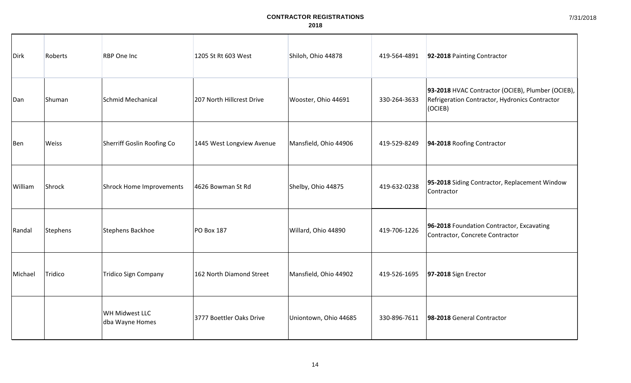| Dirk    | Roberts  | <b>RBP One Inc</b>                | 1205 St Rt 603 West       | Shiloh, Ohio 44878    | 419-564-4891 | 92-2018 Painting Contractor                                                                                    |
|---------|----------|-----------------------------------|---------------------------|-----------------------|--------------|----------------------------------------------------------------------------------------------------------------|
| Dan     | Shuman   | Schmid Mechanical                 | 207 North Hillcrest Drive | Wooster, Ohio 44691   | 330-264-3633 | 93-2018 HVAC Contractor (OCIEB), Plumber (OCIEB),<br>Refrigeration Contractor, Hydronics Contractor<br>(OCIEB) |
| Ben     | Weiss    | Sherriff Goslin Roofing Co        | 1445 West Longview Avenue | Mansfield, Ohio 44906 | 419-529-8249 | 94-2018 Roofing Contractor                                                                                     |
| William | Shrock   | <b>Shrock Home Improvements</b>   | 4626 Bowman St Rd         | Shelby, Ohio 44875    | 419-632-0238 | 95-2018 Siding Contractor, Replacement Window<br>Contractor                                                    |
| Randal  | Stephens | Stephens Backhoe                  | PO Box 187                | Willard, Ohio 44890   | 419-706-1226 | 96-2018 Foundation Contractor, Excavating<br>Contractor, Concrete Contractor                                   |
| Michael | Tridico  | <b>Tridico Sign Company</b>       | 162 North Diamond Street  | Mansfield, Ohio 44902 | 419-526-1695 | 97-2018 Sign Erector                                                                                           |
|         |          | WH Midwest LLC<br>dba Wayne Homes | 3777 Boettler Oaks Drive  | Uniontown, Ohio 44685 | 330-896-7611 | 98-2018 General Contractor                                                                                     |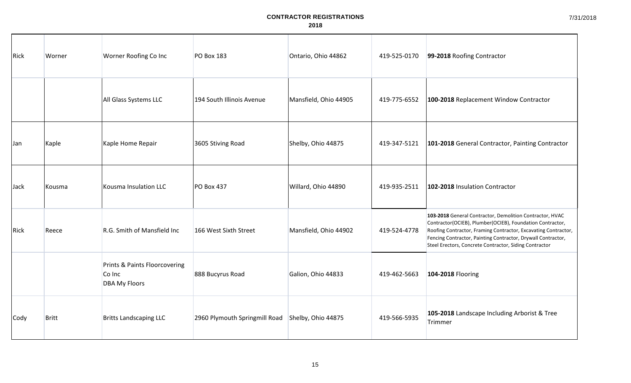| Rick | Worner       | Worner Roofing Co Inc                                           | <b>PO Box 183</b>             | Ontario, Ohio 44862   | 419-525-0170 | 99-2018 Roofing Contractor                                                                                                                                                                                                                                                                                        |
|------|--------------|-----------------------------------------------------------------|-------------------------------|-----------------------|--------------|-------------------------------------------------------------------------------------------------------------------------------------------------------------------------------------------------------------------------------------------------------------------------------------------------------------------|
|      |              | All Glass Systems LLC                                           | 194 South Illinois Avenue     | Mansfield, Ohio 44905 | 419-775-6552 | 100-2018 Replacement Window Contractor                                                                                                                                                                                                                                                                            |
| Jan  | Kaple        | Kaple Home Repair                                               | 3605 Stiving Road             | Shelby, Ohio 44875    | 419-347-5121 | 101-2018 General Contractor, Painting Contractor                                                                                                                                                                                                                                                                  |
| Jack | Kousma       | Kousma Insulation LLC                                           | PO Box 437                    | Willard, Ohio 44890   | 419-935-2511 | 102-2018 Insulation Contractor                                                                                                                                                                                                                                                                                    |
| Rick | Reece        | R.G. Smith of Mansfield Inc                                     | 166 West Sixth Street         | Mansfield, Ohio 44902 | 419-524-4778 | 103-2018 General Contractor, Demolition Contractor, HVAC<br>Contractor(OCIEB), Plumber(OCIEB), Foundation Contractor,<br>Roofing Contractor, Framing Contractor, Excavating Contractor,<br>Fencing Contractor, Painting Contractor, Drywall Contractor,<br>Steel Erectors, Concrete Contractor, Siding Contractor |
|      |              | Prints & Paints Floorcovering<br>Co Inc<br><b>DBA My Floors</b> | 888 Bucyrus Road              | Galion, Ohio 44833    | 419-462-5663 | 104-2018 Flooring                                                                                                                                                                                                                                                                                                 |
| Cody | <b>Britt</b> | <b>Britts Landscaping LLC</b>                                   | 2960 Plymouth Springmill Road | Shelby, Ohio 44875    | 419-566-5935 | 105-2018 Landscape Including Arborist & Tree<br>Trimmer                                                                                                                                                                                                                                                           |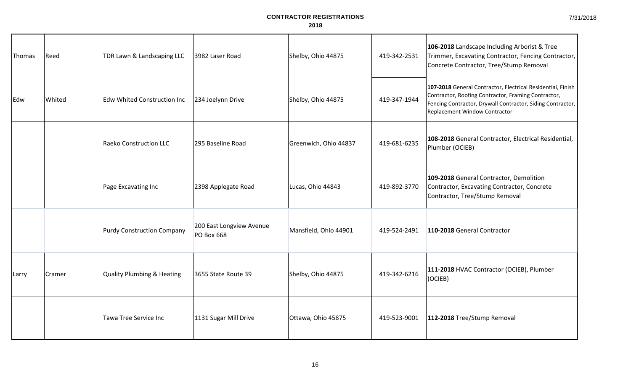7/31/2018

| Thomas | Reed   | TDR Lawn & Landscaping LLC            | 3982 Laser Road                               | Shelby, Ohio 44875    | 419-342-2531 | 106-2018 Landscape Including Arborist & Tree<br>Trimmer, Excavating Contractor, Fencing Contractor,<br>Concrete Contractor, Tree/Stump Removal                                                                    |
|--------|--------|---------------------------------------|-----------------------------------------------|-----------------------|--------------|-------------------------------------------------------------------------------------------------------------------------------------------------------------------------------------------------------------------|
| Edw    | Whited | <b>Edw Whited Construction Inc</b>    | 234 Joelynn Drive                             | Shelby, Ohio 44875    | 419-347-1944 | 107-2018 General Contractor, Electrical Residential, Finish<br>Contractor, Roofing Contractor, Framing Contractor,<br>Fencing Contractor, Drywall Contractor, Siding Contractor,<br>Replacement Window Contractor |
|        |        | <b>Raeko Construction LLC</b>         | 295 Baseline Road                             | Greenwich, Ohio 44837 | 419-681-6235 | 108-2018 General Contractor, Electrical Residential,<br>Plumber (OCIEB)                                                                                                                                           |
|        |        | Page Excavating Inc                   | 2398 Applegate Road                           | Lucas, Ohio 44843     | 419-892-3770 | 109-2018 General Contractor, Demolition<br>Contractor, Excavating Contractor, Concrete<br>Contractor, Tree/Stump Removal                                                                                          |
|        |        | <b>Purdy Construction Company</b>     | 200 East Longview Avenue<br><b>PO Box 668</b> | Mansfield, Ohio 44901 | 419-524-2491 | 110-2018 General Contractor                                                                                                                                                                                       |
| Larry  | Cramer | <b>Quality Plumbing &amp; Heating</b> | 3655 State Route 39                           | Shelby, Ohio 44875    | 419-342-6216 | 111-2018 HVAC Contractor (OCIEB), Plumber<br>(OCIEB)                                                                                                                                                              |
|        |        | <b>Tawa Tree Service Inc</b>          | 1131 Sugar Mill Drive                         | Ottawa, Ohio 45875    | 419-523-9001 | 112-2018 Tree/Stump Removal                                                                                                                                                                                       |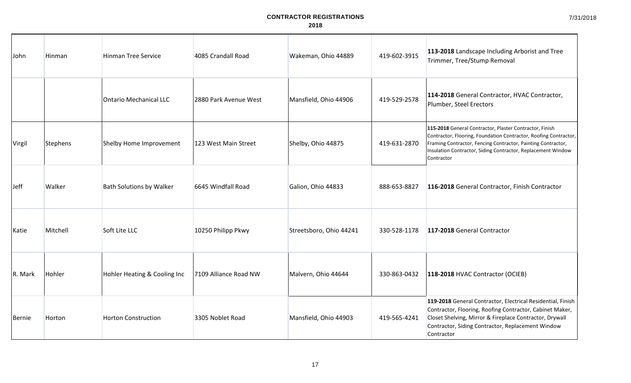| John        | Hinman   | <b>Hinman Tree Service</b>      | 4085 Crandall Road    | Wakeman, Ohio 44889     | 419-602-3915 | 113-2018 Landscape Including Arborist and Tree<br>Trimmer, Tree/Stump Removal                                                                                                                                                                                             |
|-------------|----------|---------------------------------|-----------------------|-------------------------|--------------|---------------------------------------------------------------------------------------------------------------------------------------------------------------------------------------------------------------------------------------------------------------------------|
|             |          | <b>Ontario Mechanical LLC</b>   | 2880 Park Avenue West | Mansfield, Ohio 44906   | 419-529-2578 | 114-2018 General Contractor, HVAC Contractor,<br>Plumber, Steel Erectors                                                                                                                                                                                                  |
| Virgil      | Stephens | Shelby Home Improvement         | 123 West Main Street  | Shelby, Ohio 44875      | 419-631-2870 | 115-2018 General Contractor, Plaster Contractor, Finish<br>Contractor, Flooring, Foundation Contractor, Roofing Contractor,<br>Framing Contractor, Fencing Contractor, Painting Contractor,<br>Insulation Contractor, Siding Contractor, Replacement Window<br>Contractor |
| <b>Jeff</b> | Walker   | <b>Bath Solutions by Walker</b> | 6645 Windfall Road    | Galion, Ohio 44833      | 888-653-8827 | 116-2018 General Contractor, Finish Contractor                                                                                                                                                                                                                            |
| Katie       | Mitchell | Soft Lite LLC                   | 10250 Philipp Pkwy    | Streetsboro, Ohio 44241 | 330-528-1178 | 117-2018 General Contractor                                                                                                                                                                                                                                               |
| R. Mark     | Hohler   | Hohler Heating & Cooling Inc    | 7109 Alliance Road NW | Malvern, Ohio 44644     | 330-863-0432 | 118-2018 HVAC Contractor (OCIEB)                                                                                                                                                                                                                                          |
| Bernie      | Horton   | <b>Horton Construction</b>      | 3305 Noblet Road      | Mansfield, Ohio 44903   | 419-565-4241 | 119-2018 General Contractor, Electrical Residential, Finish<br>Contractor, Flooring, Roofing Contractor, Cabinet Maker,<br>Closet Shelving, Mirror & Fireplace Contractor, Drywall<br>Contractor, Siding Contractor, Replacement Window<br>Contractor                     |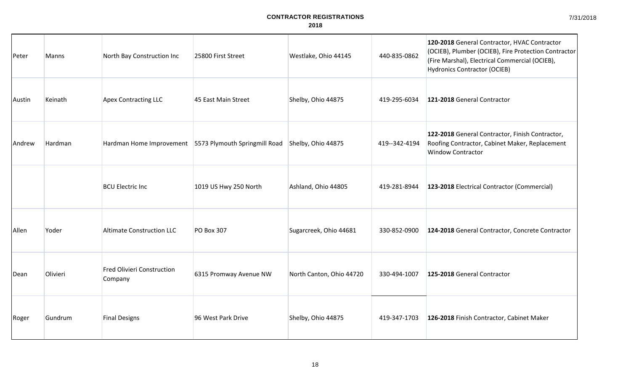| Peter  | Manns    | North Bay Construction Inc                   | 25800 First Street                                     | Westlake, Ohio 44145     | 440-835-0862  | 120-2018 General Contractor, HVAC Contractor<br>(OCIEB), Plumber (OCIEB), Fire Protection Contractor<br>(Fire Marshal), Electrical Commercial (OCIEB),<br><b>Hydronics Contractor (OCIEB)</b> |
|--------|----------|----------------------------------------------|--------------------------------------------------------|--------------------------|---------------|-----------------------------------------------------------------------------------------------------------------------------------------------------------------------------------------------|
| Austin | Keinath  | <b>Apex Contracting LLC</b>                  | 45 East Main Street                                    | Shelby, Ohio 44875       | 419-295-6034  | 121-2018 General Contractor                                                                                                                                                                   |
| Andrew | Hardman  |                                              | Hardman Home Improvement 5573 Plymouth Springmill Road | Shelby, Ohio 44875       | 419--342-4194 | 122-2018 General Contractor, Finish Contractor,<br>Roofing Contractor, Cabinet Maker, Replacement<br><b>Window Contractor</b>                                                                 |
|        |          | <b>BCU Electric Inc</b>                      | 1019 US Hwy 250 North                                  | Ashland, Ohio 44805      | 419-281-8944  | 123-2018 Electrical Contractor (Commercial)                                                                                                                                                   |
| Allen  | Yoder    | <b>Altimate Construction LLC</b>             | <b>PO Box 307</b>                                      | Sugarcreek, Ohio 44681   | 330-852-0900  | 124-2018 General Contractor, Concrete Contractor                                                                                                                                              |
| Dean   | Olivieri | <b>Fred Olivieri Construction</b><br>Company | 6315 Promway Avenue NW                                 | North Canton, Ohio 44720 | 330-494-1007  | 125-2018 General Contractor                                                                                                                                                                   |
| Roger  | Gundrum  | <b>Final Designs</b>                         | 96 West Park Drive                                     | Shelby, Ohio 44875       | 419-347-1703  | 126-2018 Finish Contractor, Cabinet Maker                                                                                                                                                     |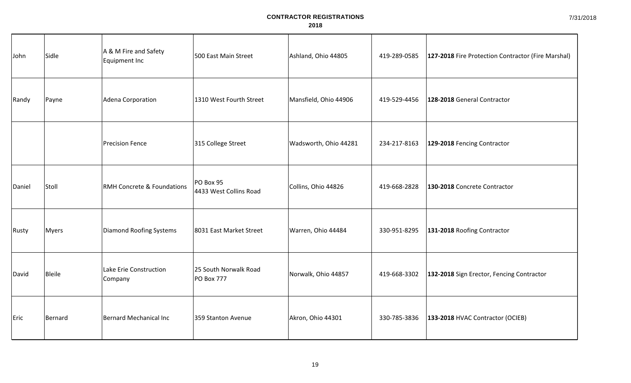| John   | Sidle        | A & M Fire and Safety<br>Equipment Inc | 500 East Main Street                       | Ashland, Ohio 44805   | 419-289-0585 | 127-2018 Fire Protection Contractor (Fire Marshal) |
|--------|--------------|----------------------------------------|--------------------------------------------|-----------------------|--------------|----------------------------------------------------|
| Randy  | Payne        | Adena Corporation                      | 1310 West Fourth Street                    | Mansfield, Ohio 44906 | 419-529-4456 | 128-2018 General Contractor                        |
|        |              | <b>Precision Fence</b>                 | 315 College Street                         | Wadsworth, Ohio 44281 | 234-217-8163 | 129-2018 Fencing Contractor                        |
| Daniel | Stoll        | <b>RMH Concrete &amp; Foundations</b>  | PO Box 95<br>4433 West Collins Road        | Collins, Ohio 44826   | 419-668-2828 | 130-2018 Concrete Contractor                       |
| Rusty  | <b>Myers</b> | <b>Diamond Roofing Systems</b>         | 8031 East Market Street                    | Warren, Ohio 44484    | 330-951-8295 | 131-2018 Roofing Contractor                        |
| David  | Bleile       | Lake Erie Construction<br>Company      | 25 South Norwalk Road<br><b>PO Box 777</b> | Norwalk, Ohio 44857   | 419-668-3302 | 132-2018 Sign Erector, Fencing Contractor          |
| Eric   | Bernard      | Bernard Mechanical Inc                 | 359 Stanton Avenue                         | Akron, Ohio 44301     | 330-785-3836 | 133-2018 HVAC Contractor (OCIEB)                   |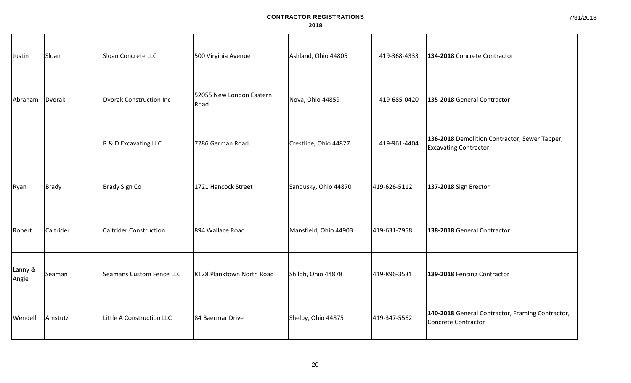| Justin           | Sloan     | Sloan Concrete LLC             | 500 Virginia Avenue              | Ashland, Ohio 44805   | 419-368-4333 | 134-2018 Concrete Contractor                                                  |
|------------------|-----------|--------------------------------|----------------------------------|-----------------------|--------------|-------------------------------------------------------------------------------|
| Abraham          | Dvorak    | <b>Dvorak Construction Inc</b> | 52055 New London Eastern<br>Road | Nova, Ohio 44859      | 419-685-0420 | 135-2018 General Contractor                                                   |
|                  |           | R & D Excavating LLC           | 7286 German Road                 | Crestline, Ohio 44827 | 419-961-4404 | 136-2018 Demolition Contractor, Sewer Tapper,<br><b>Excavating Contractor</b> |
| Ryan             | Brady     | Brady Sign Co                  | 1721 Hancock Street              | Sandusky, Ohio 44870  | 419-626-5112 | 137-2018 Sign Erector                                                         |
| Robert           | Caltrider | <b>Caltrider Construction</b>  | 894 Wallace Road                 | Mansfield, Ohio 44903 | 419-631-7958 | 138-2018 General Contractor                                                   |
| Lanny &<br>Angie | Seaman    | Seamans Custom Fence LLC       | 8128 Planktown North Road        | Shiloh, Ohio 44878    | 419-896-3531 | 139-2018 Fencing Contractor                                                   |
| Wendell          | Amstutz   | Little A Construction LLC      | 84 Baermar Drive                 | Shelby, Ohio 44875    | 419-347-5562 | 140-2018 General Contractor, Framing Contractor,<br>Concrete Contractor       |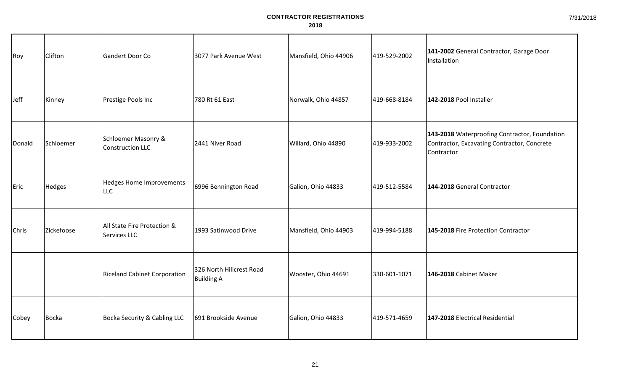| Roy    | Clifton    | Gandert Door Co                                           | 3077 Park Avenue West                         | Mansfield, Ohio 44906 | 419-529-2002 | 141-2002 General Contractor, Garage Door<br>Installation                                                   |
|--------|------------|-----------------------------------------------------------|-----------------------------------------------|-----------------------|--------------|------------------------------------------------------------------------------------------------------------|
| Jeff   | Kinney     | Prestige Pools Inc                                        | 780 Rt 61 East                                | Norwalk, Ohio 44857   | 419-668-8184 | 142-2018 Pool Installer                                                                                    |
| Donald | Schloemer  | <b>Schloemer Masonry &amp;</b><br><b>Construction LLC</b> | 2441 Niver Road                               | Willard, Ohio 44890   | 419-933-2002 | 143-2018 Waterproofing Contractor, Foundation<br>Contractor, Excavating Contractor, Concrete<br>Contractor |
| Eric   | Hedges     | <b>Hedges Home Improvements</b><br><b>LLC</b>             | 6996 Bennington Road                          | Galion, Ohio 44833    | 419-512-5584 | 144-2018 General Contractor                                                                                |
| Chris  | Zickefoose | All State Fire Protection &<br>Services LLC               | 1993 Satinwood Drive                          | Mansfield, Ohio 44903 | 419-994-5188 | 145-2018 Fire Protection Contractor                                                                        |
|        |            | <b>Riceland Cabinet Corporation</b>                       | 326 North Hillcrest Road<br><b>Building A</b> | Wooster, Ohio 44691   | 330-601-1071 | 146-2018 Cabinet Maker                                                                                     |
| Cobey  | Bocka      | Bocka Security & Cabling LLC                              | 691 Brookside Avenue                          | Galion, Ohio 44833    | 419-571-4659 | 147-2018 Electrical Residential                                                                            |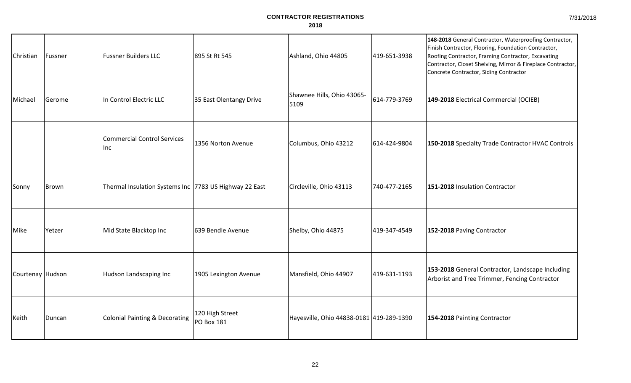| 7/31/2018 |  |
|-----------|--|
|-----------|--|

| Christian        | Fussner | <b>Fussner Builders LLC</b>                            | 895 St Rt 545                        | Ashland, Ohio 44805                      | 419-651-3938 | 148-2018 General Contractor, Waterproofing Contractor,<br>Finish Contractor, Flooring, Foundation Contractor,<br>Roofing Contractor, Framing Contractor, Excavating<br>Contractor, Closet Shelving, Mirror & Fireplace Contractor,<br>Concrete Contractor, Siding Contractor |
|------------------|---------|--------------------------------------------------------|--------------------------------------|------------------------------------------|--------------|------------------------------------------------------------------------------------------------------------------------------------------------------------------------------------------------------------------------------------------------------------------------------|
| Michael          | Gerome  | In Control Electric LLC                                | 35 East Olentangy Drive              | Shawnee Hills, Ohio 43065-<br>5109       | 614-779-3769 | 149-2018 Electrical Commercial (OCIEB)                                                                                                                                                                                                                                       |
|                  |         | <b>Commercial Control Services</b><br>Inc              | 1356 Norton Avenue                   | Columbus, Ohio 43212                     | 614-424-9804 | 150-2018 Specialty Trade Contractor HVAC Controls                                                                                                                                                                                                                            |
| Sonny            | Brown   | Thermal Insulation Systems Inc 7783 US Highway 22 East |                                      | Circleville, Ohio 43113                  | 740-477-2165 | 151-2018 Insulation Contractor                                                                                                                                                                                                                                               |
| Mike             | Yetzer  | Mid State Blacktop Inc                                 | 639 Bendle Avenue                    | Shelby, Ohio 44875                       | 419-347-4549 | 152-2018 Paving Contractor                                                                                                                                                                                                                                                   |
| Courtenay Hudson |         | Hudson Landscaping Inc                                 | 1905 Lexington Avenue                | Mansfield, Ohio 44907                    | 419-631-1193 | 153-2018 General Contractor, Landscape Including<br>Arborist and Tree Trimmer, Fencing Contractor                                                                                                                                                                            |
| Keith            | Duncan  | <b>Colonial Painting &amp; Decorating</b>              | 120 High Street<br><b>PO Box 181</b> | Hayesville, Ohio 44838-0181 419-289-1390 |              | 154-2018 Painting Contractor                                                                                                                                                                                                                                                 |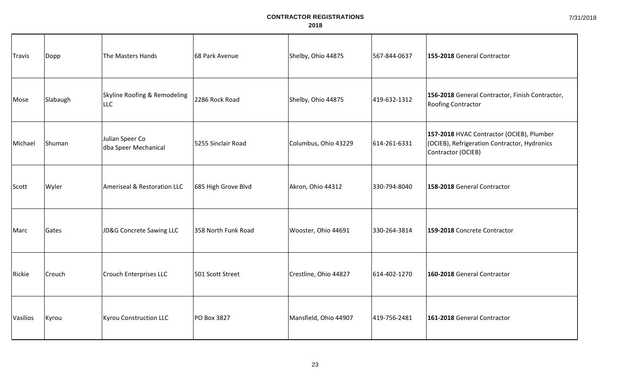| Travis          | Dopp     | The Masters Hands                          | 68 Park Avenue      | Shelby, Ohio 44875    | 567-844-0637 | 155-2018 General Contractor                                                                                     |
|-----------------|----------|--------------------------------------------|---------------------|-----------------------|--------------|-----------------------------------------------------------------------------------------------------------------|
| Mose            | Slabaugh | Skyline Roofing & Remodeling<br><b>LLC</b> | 2286 Rock Road      | Shelby, Ohio 44875    | 419-632-1312 | 156-2018 General Contractor, Finish Contractor,<br>Roofing Contractor                                           |
| Michael         | Shuman   | Julian Speer Co<br>dba Speer Mechanical    | 5255 Sinclair Road  | Columbus, Ohio 43229  | 614-261-6331 | 157-2018 HVAC Contractor (OCIEB), Plumber<br>(OCIEB), Refrigeration Contractor, Hydronics<br>Contractor (OCIEB) |
| Scott           | Wyler    | Ameriseal & Restoration LLC                | 685 High Grove Blvd | Akron, Ohio 44312     | 330-794-8040 | 158-2018 General Contractor                                                                                     |
| Marc            | Gates    | JD&G Concrete Sawing LLC                   | 358 North Funk Road | Wooster, Ohio 44691   | 330-264-3814 | 159-2018 Concrete Contractor                                                                                    |
| Rickie          | Crouch   | <b>Crouch Enterprises LLC</b>              | 501 Scott Street    | Crestline, Ohio 44827 | 614-402-1270 | 160-2018 General Contractor                                                                                     |
| <b>Vasilios</b> | Kyrou    | Kyrou Construction LLC                     | <b>PO Box 3827</b>  | Mansfield, Ohio 44907 | 419-756-2481 | 161-2018 General Contractor                                                                                     |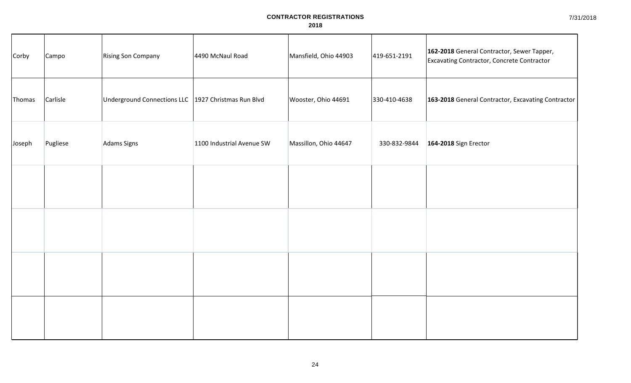| Corby  | Campo    | Rising Son Company                                    | 4490 McNaul Road          | Mansfield, Ohio 44903 | 419-651-2191 | 162-2018 General Contractor, Sewer Tapper,<br>Excavating Contractor, Concrete Contractor |
|--------|----------|-------------------------------------------------------|---------------------------|-----------------------|--------------|------------------------------------------------------------------------------------------|
| Thomas | Carlisle | Underground Connections LLC   1927 Christmas Run Blvd |                           | Wooster, Ohio 44691   | 330-410-4638 | 163-2018 General Contractor, Excavating Contractor                                       |
| Joseph | Pugliese | Adams Signs                                           | 1100 Industrial Avenue SW | Massillon, Ohio 44647 | 330-832-9844 | 164-2018 Sign Erector                                                                    |
|        |          |                                                       |                           |                       |              |                                                                                          |
|        |          |                                                       |                           |                       |              |                                                                                          |
|        |          |                                                       |                           |                       |              |                                                                                          |
|        |          |                                                       |                           |                       |              |                                                                                          |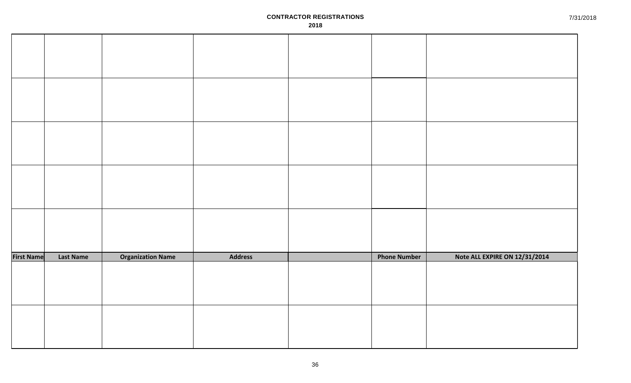| <b>First Name</b> | <b>Last Name</b> | <b>Organization Name</b> | <b>Address</b> | <b>Phone Number</b> | Note ALL EXPIRE ON 12/31/2014 |
|-------------------|------------------|--------------------------|----------------|---------------------|-------------------------------|
|                   |                  |                          |                |                     |                               |
|                   |                  |                          |                |                     |                               |
|                   |                  |                          |                |                     |                               |
|                   |                  |                          |                |                     |                               |
|                   |                  |                          |                |                     |                               |
|                   |                  |                          |                |                     |                               |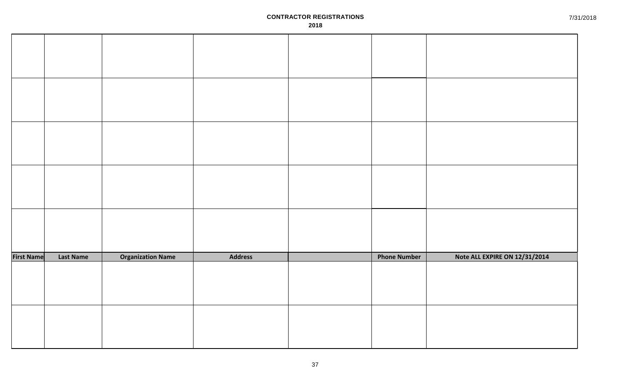| <b>First Name</b> | <b>Last Name</b> | <b>Organization Name</b> | <b>Address</b> | <b>Phone Number</b> | Note ALL EXPIRE ON 12/31/2014 |
|-------------------|------------------|--------------------------|----------------|---------------------|-------------------------------|
|                   |                  |                          |                |                     |                               |
|                   |                  |                          |                |                     |                               |
|                   |                  |                          |                |                     |                               |
|                   |                  |                          |                |                     |                               |
|                   |                  |                          |                |                     |                               |
|                   |                  |                          |                |                     |                               |